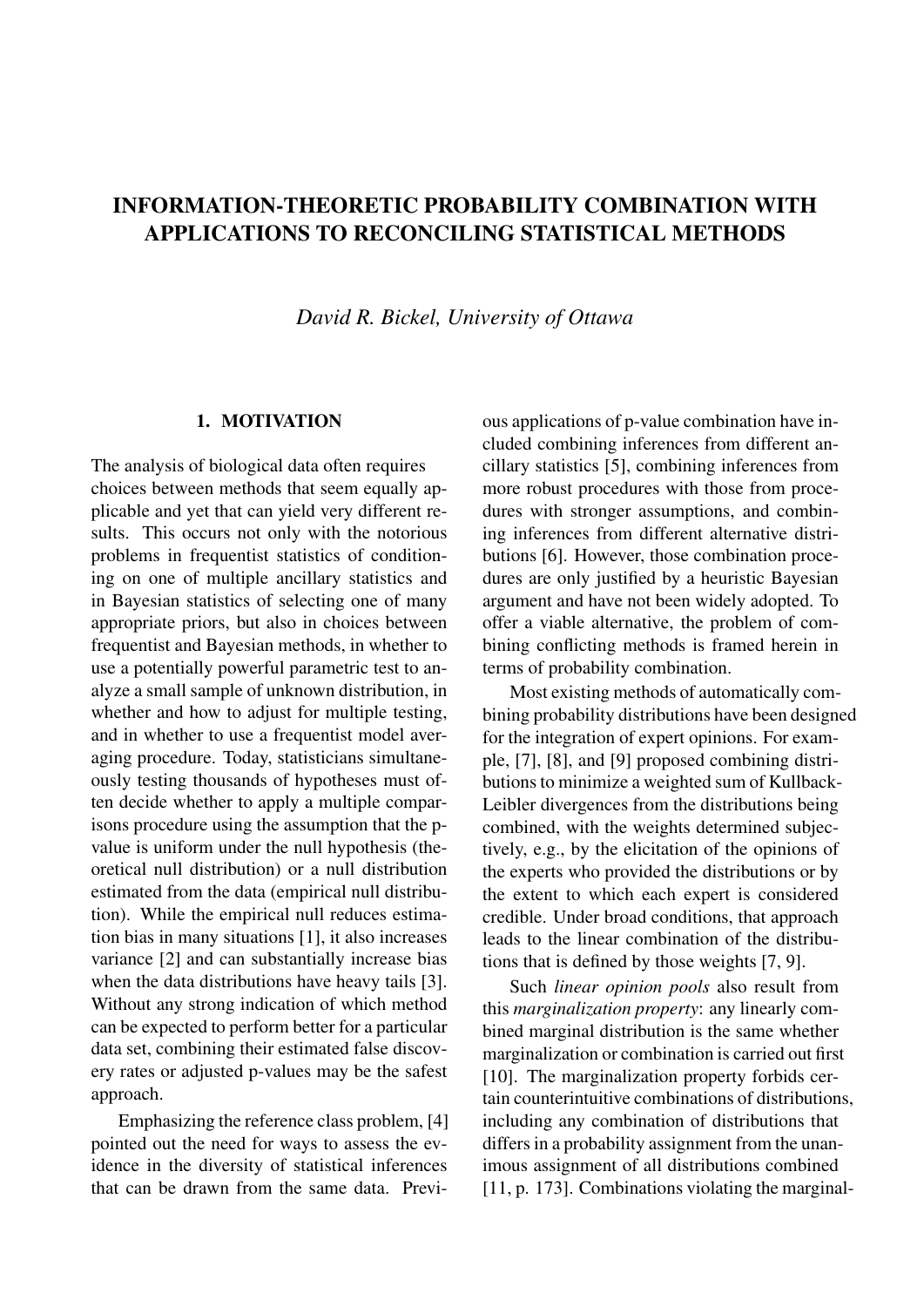# INFORMATION-THEORETIC PROBABILITY COMBINATION WITH APPLICATIONS TO RECONCILING STATISTICAL METHODS

*David R. Bickel, University of Ottawa*

#### 1. MOTIVATION

The analysis of biological data often requires choices between methods that seem equally applicable and yet that can yield very different results. This occurs not only with the notorious problems in frequentist statistics of conditioning on one of multiple ancillary statistics and in Bayesian statistics of selecting one of many appropriate priors, but also in choices between frequentist and Bayesian methods, in whether to use a potentially powerful parametric test to analyze a small sample of unknown distribution, in whether and how to adjust for multiple testing, and in whether to use a frequentist model averaging procedure. Today, statisticians simultaneously testing thousands of hypotheses must often decide whether to apply a multiple comparisons procedure using the assumption that the pvalue is uniform under the null hypothesis (theoretical null distribution) or a null distribution estimated from the data (empirical null distribution). While the empirical null reduces estimation bias in many situations [1], it also increases variance [2] and can substantially increase bias when the data distributions have heavy tails [3]. Without any strong indication of which method can be expected to perform better for a particular data set, combining their estimated false discovery rates or adjusted p-values may be the safest approach.

Emphasizing the reference class problem, [4] pointed out the need for ways to assess the evidence in the diversity of statistical inferences that can be drawn from the same data. Previous applications of p-value combination have included combining inferences from different ancillary statistics [5], combining inferences from more robust procedures with those from procedures with stronger assumptions, and combining inferences from different alternative distributions [6]. However, those combination procedures are only justified by a heuristic Bayesian argument and have not been widely adopted. To offer a viable alternative, the problem of combining conflicting methods is framed herein in terms of probability combination.

Most existing methods of automatically combining probability distributions have been designed for the integration of expert opinions. For example, [7], [8], and [9] proposed combining distributions to minimize a weighted sum of Kullback-Leibler divergences from the distributions being combined, with the weights determined subjectively, e.g., by the elicitation of the opinions of the experts who provided the distributions or by the extent to which each expert is considered credible. Under broad conditions, that approach leads to the linear combination of the distributions that is defined by those weights [7, 9].

Such *linear opinion pools* also result from this *marginalization property*: any linearly combined marginal distribution is the same whether marginalization or combination is carried out first [10]. The marginalization property forbids certain counterintuitive combinations of distributions, including any combination of distributions that differs in a probability assignment from the unanimous assignment of all distributions combined [11, p. 173]. Combinations violating the marginal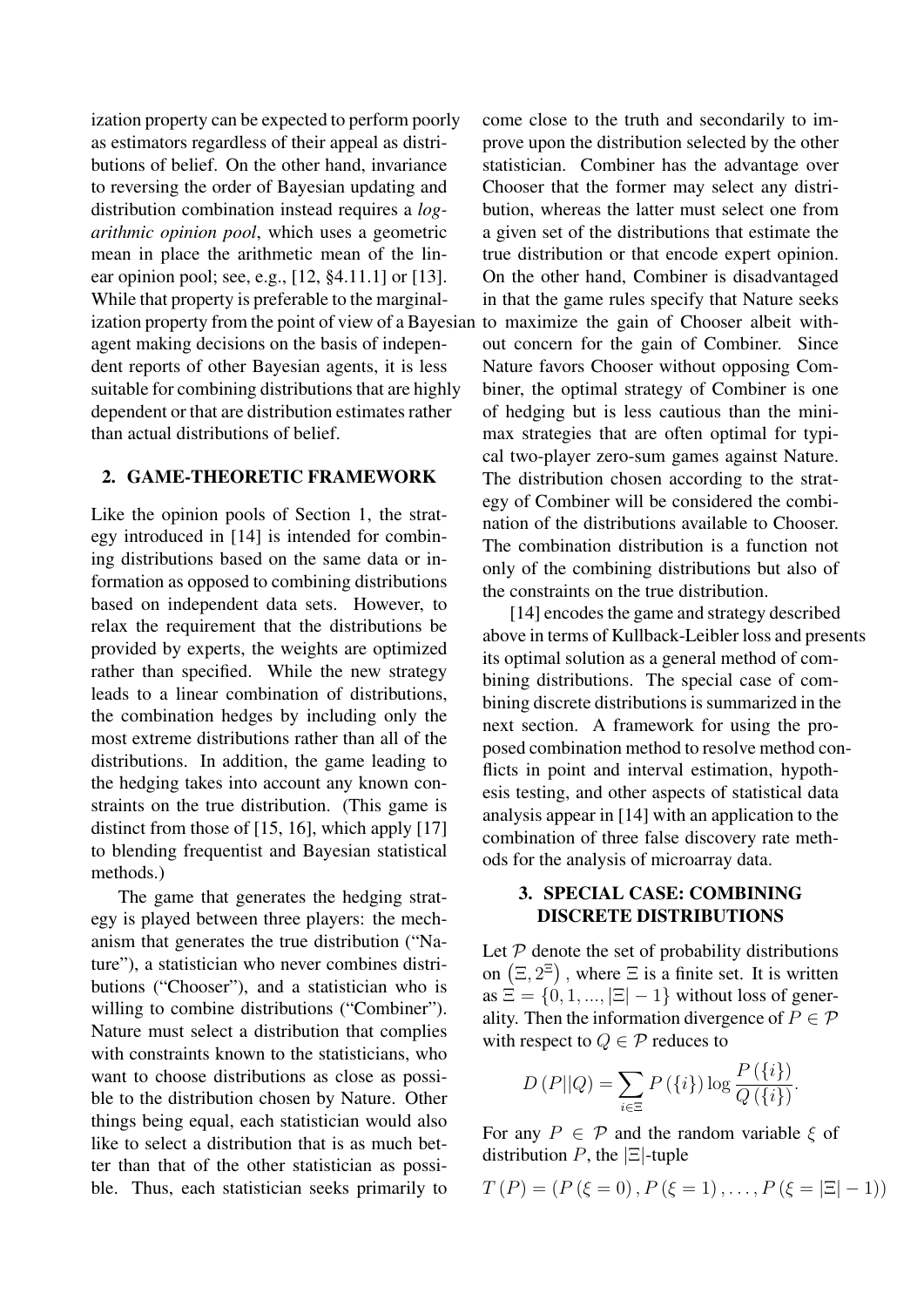ization property can be expected to perform poorly as estimators regardless of their appeal as distributions of belief. On the other hand, invariance to reversing the order of Bayesian updating and distribution combination instead requires a *logarithmic opinion pool*, which uses a geometric mean in place the arithmetic mean of the linear opinion pool; see, e.g., [12, §4.11.1] or [13]. While that property is preferable to the marginalization property from the point of view of a Bayesian to maximize the gain of Chooser albeit withagent making decisions on the basis of independent reports of other Bayesian agents, it is less suitable for combining distributions that are highly dependent or that are distribution estimates rather than actual distributions of belief.

#### 2. GAME-THEORETIC FRAMEWORK

Like the opinion pools of Section 1, the strategy introduced in [14] is intended for combining distributions based on the same data or information as opposed to combining distributions based on independent data sets. However, to relax the requirement that the distributions be provided by experts, the weights are optimized rather than specified. While the new strategy leads to a linear combination of distributions, the combination hedges by including only the most extreme distributions rather than all of the distributions. In addition, the game leading to the hedging takes into account any known constraints on the true distribution. (This game is distinct from those of [15, 16], which apply [17] to blending frequentist and Bayesian statistical methods.)

The game that generates the hedging strategy is played between three players: the mechanism that generates the true distribution ("Nature"), a statistician who never combines distributions ("Chooser"), and a statistician who is willing to combine distributions ("Combiner"). Nature must select a distribution that complies with constraints known to the statisticians, who want to choose distributions as close as possible to the distribution chosen by Nature. Other things being equal, each statistician would also like to select a distribution that is as much better than that of the other statistician as possible. Thus, each statistician seeks primarily to

come close to the truth and secondarily to improve upon the distribution selected by the other statistician. Combiner has the advantage over Chooser that the former may select any distribution, whereas the latter must select one from a given set of the distributions that estimate the true distribution or that encode expert opinion. On the other hand, Combiner is disadvantaged in that the game rules specify that Nature seeks out concern for the gain of Combiner. Since Nature favors Chooser without opposing Combiner, the optimal strategy of Combiner is one of hedging but is less cautious than the minimax strategies that are often optimal for typical two-player zero-sum games against Nature. The distribution chosen according to the strategy of Combiner will be considered the combination of the distributions available to Chooser. The combination distribution is a function not only of the combining distributions but also of the constraints on the true distribution.

[14] encodes the game and strategy described above in terms of Kullback-Leibler loss and presents its optimal solution as a general method of combining distributions. The special case of combining discrete distributions is summarized in the next section. A framework for using the proposed combination method to resolve method conflicts in point and interval estimation, hypothesis testing, and other aspects of statistical data analysis appear in [14] with an application to the combination of three false discovery rate methods for the analysis of microarray data.

## 3. SPECIAL CASE: COMBINING DISCRETE DISTRIBUTIONS

Let  $P$  denote the set of probability distributions on  $(\Xi, 2^{\Xi})$ , where  $\Xi$  is a finite set. It is written as  $\vec{\Xi} = \{0, 1, ..., |\Xi| - 1\}$  without loss of generality. Then the information divergence of  $P \in \mathcal{P}$ with respect to  $Q \in \mathcal{P}$  reduces to

$$
D(P||Q) = \sum_{i \in \Xi} P(\lbrace i \rbrace) \log \frac{P(\lbrace i \rbrace)}{Q(\lbrace i \rbrace)}.
$$

For any  $P \in \mathcal{P}$  and the random variable  $\xi$  of distribution P, the  $|\Xi|$ -tuple

$$
T(P) = (P(\xi = 0), P(\xi = 1), \dots, P(\xi = |\Xi| - 1))
$$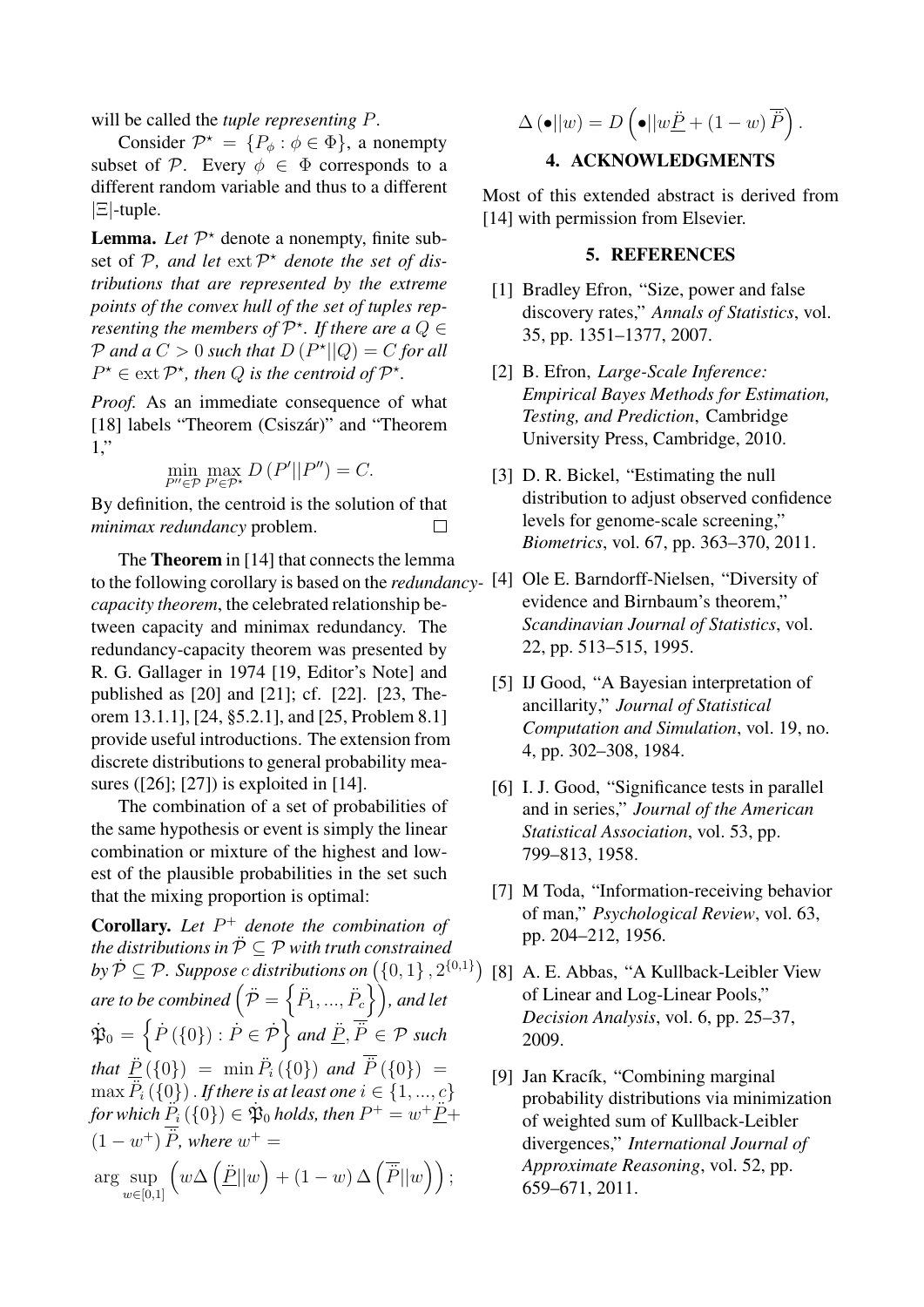will be called the *tuple representing* P.

Consider  $\mathcal{P}^* = \{P_{\phi} : \phi \in \Phi\}$ , a nonempty subset of P. Every  $\phi \in \Phi$  corresponds to a different random variable and thus to a different  $|\Xi|$ -tuple.

**Lemma.** Let  $\mathcal{P}^*$  denote a nonempty, finite subset of  $P$ *, and let*  $ext{P*}$  *denote the set of distributions that are represented by the extreme points of the convex hull of the set of tuples representing the members of*  $\mathcal{P}^*$ *. If there are a*  $Q \in$  $P$  and a  $C > 0$  such that  $D(P^*||Q) = C$  for all  $P^* \in \text{ext } P^*$ , then Q is the centroid of  $P^*$ .

*Proof.* As an immediate consequence of what [18] labels "Theorem (Csiszár)" and "Theorem 1,"

$$
\min_{P'' \in \mathcal{P}} \max_{P' \in \mathcal{P}^*} D\left(P' || P''\right) = C.
$$

By definition, the centroid is the solution of that *minimax redundancy* problem.  $\Box$ 

The **Theorem** in [14] that connects the lemma to the following corollary is based on the *redundancy-*[4] Ole E. Barndorff-Nielsen, "Diversity of *capacity theorem*, the celebrated relationship between capacity and minimax redundancy. The redundancy-capacity theorem was presented by R. G. Gallager in 1974 [19, Editor's Note] and published as [20] and [21]; cf. [22]. [23, Theorem 13.1.1], [24, §5.2.1], and [25, Problem 8.1] provide useful introductions. The extension from discrete distributions to general probability measures  $(26)$ ;  $[27]$ ) is exploited in  $[14]$ .

The combination of a set of probabilities of the same hypothesis or event is simply the linear combination or mixture of the highest and lowest of the plausible probabilities in the set such that the mixing proportion is optimal:

Corollary. *Let* P <sup>+</sup> *denote the combination of the distributions in*  $\ddot{P} \subseteq P$  *with truth constrained*  $by \dot{P} \subseteq P$ *. Suppose c distributions on*  $(\{0,1\} , 2^{\{0,1\}})$ are to be combined  $\left( \ddot{{\cal P}} = \left\{ \ddot{{\cal P}}_1,...,\ddot{{\cal P}}_c \right\} \right)$  , and let  $\dot{\mathfrak{P}}_0 = \left\{ \dot{P}\left(\{0\}\right): \dot{P}\in\dot{{\cal P}} \right\}$  and  $\underline{\ddot{P}}, \overline{\ddot{P}}\in{\cal P}$  such  $that \; \underline{\ddot{P}}(\{0\}) \; = \; \min \ddot{P}_i(\{0\}) \; \text{ and } \; \overline{\ddot{P}}(\{0\}) \; = \;$  $\max \overline{\ddot{P}_i\left(\{0\}\right)}$  . If there is at least one  $i\in\{1,...,c\}$ for which  $\ddot{P_i}$   $(\{0\}) \in \ddot{\mathfrak{P}}_0$  holds, then  $P^+ = w^+ \ddot{P} + \cdots$  $(1-w^+)$   $\overline{P}$ *, where*  $w^+$  = arg sup  $w \in [0,1]$  $\left(w\Delta\left(\frac{\ddot{P}}{P}||w\right) + (1-w)\Delta\left(\frac{\dddot{P}}{P}||w\right)\right);$ 

$$
\Delta\left(\bullet||w\right) = D\left(\bullet||w\underline{\ddot{P}} + (1-w)\overline{\ddot{P}}\right).
$$

## 4. ACKNOWLEDGMENTS

Most of this extended abstract is derived from [14] with permission from Elsevier.

#### 5. REFERENCES

- [1] Bradley Efron, "Size, power and false discovery rates," *Annals of Statistics*, vol. 35, pp. 1351–1377, 2007.
- [2] B. Efron, *Large-Scale Inference: Empirical Bayes Methods for Estimation, Testing, and Prediction*, Cambridge University Press, Cambridge, 2010.
- [3] D. R. Bickel, "Estimating the null distribution to adjust observed confidence levels for genome-scale screening," *Biometrics*, vol. 67, pp. 363–370, 2011.
- evidence and Birnbaum's theorem," *Scandinavian Journal of Statistics*, vol. 22, pp. 513–515, 1995.
- [5] IJ Good, "A Bayesian interpretation of ancillarity," *Journal of Statistical Computation and Simulation*, vol. 19, no. 4, pp. 302–308, 1984.
- [6] I. J. Good, "Significance tests in parallel and in series," *Journal of the American Statistical Association*, vol. 53, pp. 799–813, 1958.
- [7] M Toda, "Information-receiving behavior of man," *Psychological Review*, vol. 63, pp. 204–212, 1956.
- [8] A. E. Abbas, "A Kullback-Leibler View of Linear and Log-Linear Pools," *Decision Analysis*, vol. 6, pp. 25–37, 2009.
- [9] Jan Kracík, "Combining marginal probability distributions via minimization of weighted sum of Kullback-Leibler divergences," *International Journal of Approximate Reasoning*, vol. 52, pp. 659–671, 2011.